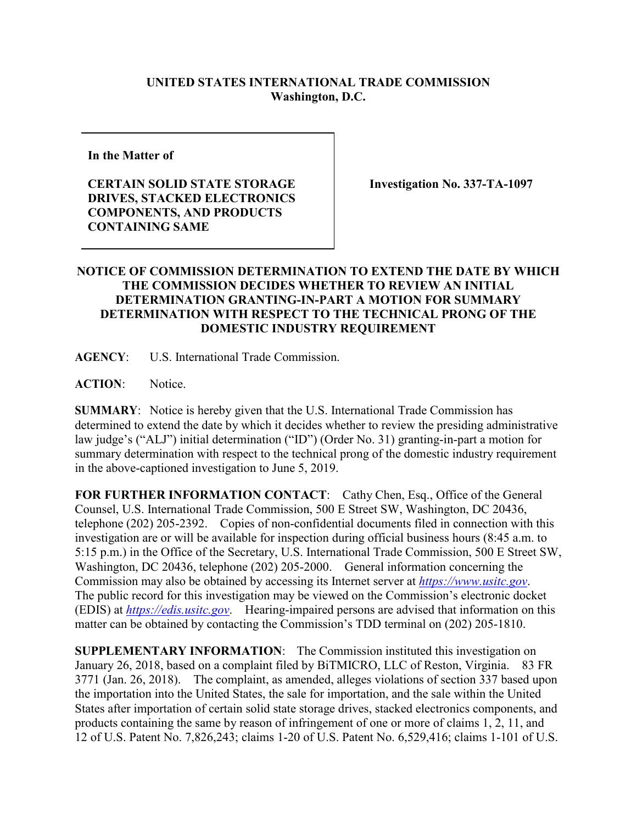## **UNITED STATES INTERNATIONAL TRADE COMMISSION Washington, D.C.**

**In the Matter of**

**CERTAIN SOLID STATE STORAGE DRIVES, STACKED ELECTRONICS COMPONENTS, AND PRODUCTS CONTAINING SAME**

**Investigation No. 337-TA-1097**

## **NOTICE OF COMMISSION DETERMINATION TO EXTEND THE DATE BY WHICH THE COMMISSION DECIDES WHETHER TO REVIEW AN INITIAL DETERMINATION GRANTING-IN-PART A MOTION FOR SUMMARY DETERMINATION WITH RESPECT TO THE TECHNICAL PRONG OF THE DOMESTIC INDUSTRY REQUIREMENT**

**AGENCY**: U.S. International Trade Commission.

**ACTION**: Notice.

**SUMMARY**: Notice is hereby given that the U.S. International Trade Commission has determined to extend the date by which it decides whether to review the presiding administrative law judge's ("ALJ") initial determination ("ID") (Order No. 31) granting-in-part a motion for summary determination with respect to the technical prong of the domestic industry requirement in the above-captioned investigation to June 5, 2019.

**FOR FURTHER INFORMATION CONTACT**: Cathy Chen, Esq., Office of the General Counsel, U.S. International Trade Commission, 500 E Street SW, Washington, DC 20436, telephone (202) 205-2392. Copies of non-confidential documents filed in connection with this investigation are or will be available for inspection during official business hours (8:45 a.m. to 5:15 p.m.) in the Office of the Secretary, U.S. International Trade Commission, 500 E Street SW, Washington, DC 20436, telephone (202) 205-2000. General information concerning the Commission may also be obtained by accessing its Internet server at *[https://www.usitc.gov](https://www.usitc.gov/)*. The public record for this investigation may be viewed on the Commission's electronic docket (EDIS) at *[https://edis.usitc.gov](https://edis.usitc.gov/)*. Hearing-impaired persons are advised that information on this matter can be obtained by contacting the Commission's TDD terminal on (202) 205-1810.

**SUPPLEMENTARY INFORMATION**: The Commission instituted this investigation on January 26, 2018, based on a complaint filed by BiTMICRO, LLC of Reston, Virginia. 83 FR 3771 (Jan. 26, 2018). The complaint, as amended, alleges violations of section 337 based upon the importation into the United States, the sale for importation, and the sale within the United States after importation of certain solid state storage drives, stacked electronics components, and products containing the same by reason of infringement of one or more of claims 1, 2, 11, and 12 of U.S. Patent No. 7,826,243; claims 1-20 of U.S. Patent No. 6,529,416; claims 1-101 of U.S.